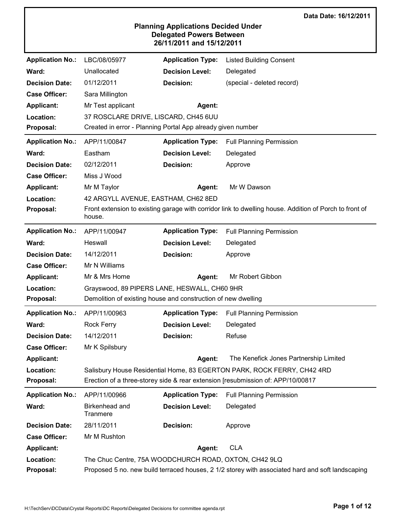|                         |                                                               |                                                                                                            | Data Date: 16/12/2011                                                                                  |
|-------------------------|---------------------------------------------------------------|------------------------------------------------------------------------------------------------------------|--------------------------------------------------------------------------------------------------------|
|                         |                                                               | <b>Planning Applications Decided Under</b><br><b>Delegated Powers Between</b><br>26/11/2011 and 15/12/2011 |                                                                                                        |
| <b>Application No.:</b> | LBC/08/05977                                                  | <b>Application Type:</b>                                                                                   | <b>Listed Building Consent</b>                                                                         |
| Ward:                   | Unallocated                                                   | <b>Decision Level:</b>                                                                                     | Delegated                                                                                              |
| <b>Decision Date:</b>   | 01/12/2011                                                    | <b>Decision:</b>                                                                                           | (special - deleted record)                                                                             |
| <b>Case Officer:</b>    | Sara Millington                                               |                                                                                                            |                                                                                                        |
| <b>Applicant:</b>       | Mr Test applicant                                             | Agent:                                                                                                     |                                                                                                        |
| Location:               | 37 ROSCLARE DRIVE, LISCARD, CH45 6UU                          |                                                                                                            |                                                                                                        |
| Proposal:               | Created in error - Planning Portal App already given number   |                                                                                                            |                                                                                                        |
| <b>Application No.:</b> | APP/11/00847                                                  | <b>Application Type:</b>                                                                                   | <b>Full Planning Permission</b>                                                                        |
| Ward:                   | Eastham                                                       | <b>Decision Level:</b>                                                                                     | Delegated                                                                                              |
| <b>Decision Date:</b>   | 02/12/2011                                                    | Decision:                                                                                                  | Approve                                                                                                |
| <b>Case Officer:</b>    | Miss J Wood                                                   |                                                                                                            |                                                                                                        |
| <b>Applicant:</b>       | Mr M Taylor                                                   | Agent:                                                                                                     | Mr W Dawson                                                                                            |
| Location:               | 42 ARGYLL AVENUE, EASTHAM, CH62 8ED                           |                                                                                                            |                                                                                                        |
| Proposal:               | house.                                                        |                                                                                                            | Front extension to existing garage with corridor link to dwelling house. Addition of Porch to front of |
| <b>Application No.:</b> | APP/11/00947                                                  | <b>Application Type:</b>                                                                                   | <b>Full Planning Permission</b>                                                                        |
| Ward:                   | Heswall                                                       | <b>Decision Level:</b>                                                                                     | Delegated                                                                                              |
| <b>Decision Date:</b>   | 14/12/2011                                                    | <b>Decision:</b>                                                                                           | Approve                                                                                                |
| <b>Case Officer:</b>    | Mr N Williams                                                 |                                                                                                            |                                                                                                        |
| <b>Applicant:</b>       | Mr & Mrs Home                                                 | Agent:                                                                                                     | Mr Robert Gibbon                                                                                       |
| Location:               | Grayswood, 89 PIPERS LANE, HESWALL, CH60 9HR                  |                                                                                                            |                                                                                                        |
| Proposal:               | Demolition of existing house and construction of new dwelling |                                                                                                            |                                                                                                        |
| <b>Application No.:</b> | APP/11/00963                                                  | <b>Application Type:</b>                                                                                   | <b>Full Planning Permission</b>                                                                        |
| Ward:                   | <b>Rock Ferry</b>                                             | <b>Decision Level:</b>                                                                                     | Delegated                                                                                              |
| <b>Decision Date:</b>   | 14/12/2011                                                    | <b>Decision:</b>                                                                                           | Refuse                                                                                                 |
| <b>Case Officer:</b>    | Mr K Spilsbury                                                |                                                                                                            |                                                                                                        |
| <b>Applicant:</b>       |                                                               | Agent:                                                                                                     | The Kenefick Jones Partnership Limited                                                                 |
| Location:               |                                                               |                                                                                                            | Salisbury House Residential Home, 83 EGERTON PARK, ROCK FERRY, CH42 4RD                                |
| Proposal:               |                                                               |                                                                                                            | Erection of a three-storey side & rear extension [resubmission of: APP/10/00817                        |
| <b>Application No.:</b> | APP/11/00966                                                  | <b>Application Type:</b>                                                                                   | <b>Full Planning Permission</b>                                                                        |
| Ward:                   | Birkenhead and<br>Tranmere                                    | <b>Decision Level:</b>                                                                                     | Delegated                                                                                              |
| <b>Decision Date:</b>   | 28/11/2011                                                    | Decision:                                                                                                  | Approve                                                                                                |
| <b>Case Officer:</b>    | Mr M Rushton                                                  |                                                                                                            |                                                                                                        |
| <b>Applicant:</b>       |                                                               | Agent:                                                                                                     | <b>CLA</b>                                                                                             |
| Location:               | The Chuc Centre, 75A WOODCHURCH ROAD, OXTON, CH42 9LQ         |                                                                                                            |                                                                                                        |
| Proposal:               |                                                               |                                                                                                            | Proposed 5 no. new build terraced houses, 2 1/2 storey with associated hard and soft landscaping       |

г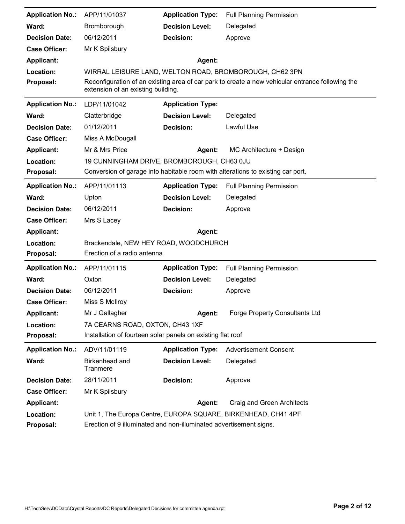| <b>Application No.:</b> | APP/11/01037                                                       | <b>Application Type:</b> | <b>Full Planning Permission</b>                                                                  |
|-------------------------|--------------------------------------------------------------------|--------------------------|--------------------------------------------------------------------------------------------------|
| Ward:                   | Bromborough                                                        | <b>Decision Level:</b>   | Delegated                                                                                        |
| <b>Decision Date:</b>   | 06/12/2011                                                         | <b>Decision:</b>         | Approve                                                                                          |
| <b>Case Officer:</b>    | Mr K Spilsbury                                                     |                          |                                                                                                  |
| <b>Applicant:</b>       |                                                                    | Agent:                   |                                                                                                  |
| Location:               |                                                                    |                          | WIRRAL LEISURE LAND, WELTON ROAD, BROMBOROUGH, CH62 3PN                                          |
| Proposal:               | extension of an existing building.                                 |                          | Reconfiguration of an existing area of car park to create a new vehicular entrance following the |
| <b>Application No.:</b> | LDP/11/01042                                                       | <b>Application Type:</b> |                                                                                                  |
| Ward:                   | Clatterbridge                                                      | <b>Decision Level:</b>   | Delegated                                                                                        |
| <b>Decision Date:</b>   | 01/12/2011                                                         | <b>Decision:</b>         | Lawful Use                                                                                       |
| <b>Case Officer:</b>    | Miss A McDougall                                                   |                          |                                                                                                  |
| <b>Applicant:</b>       | Mr & Mrs Price                                                     | Agent:                   | MC Architecture + Design                                                                         |
| Location:               | 19 CUNNINGHAM DRIVE, BROMBOROUGH, CH63 0JU                         |                          |                                                                                                  |
| Proposal:               |                                                                    |                          | Conversion of garage into habitable room with alterations to existing car port.                  |
| <b>Application No.:</b> | APP/11/01113                                                       | <b>Application Type:</b> | <b>Full Planning Permission</b>                                                                  |
| Ward:                   | Upton                                                              | <b>Decision Level:</b>   | Delegated                                                                                        |
| <b>Decision Date:</b>   | 06/12/2011                                                         | Decision:                | Approve                                                                                          |
| <b>Case Officer:</b>    | Mrs S Lacey                                                        |                          |                                                                                                  |
| <b>Applicant:</b>       |                                                                    | Agent:                   |                                                                                                  |
| Location:               | Brackendale, NEW HEY ROAD, WOODCHURCH                              |                          |                                                                                                  |
| Proposal:               | Erection of a radio antenna                                        |                          |                                                                                                  |
| <b>Application No.:</b> | APP/11/01115                                                       | <b>Application Type:</b> | <b>Full Planning Permission</b>                                                                  |
| Ward:                   | Oxton                                                              | <b>Decision Level:</b>   | Delegated                                                                                        |
| <b>Decision Date:</b>   | 06/12/2011                                                         | Decision:                | Approve                                                                                          |
| <b>Case Officer:</b>    | Miss S McIlroy                                                     |                          |                                                                                                  |
| <b>Applicant:</b>       | Mr J Gallagher                                                     | Agent:                   | <b>Forge Property Consultants Ltd</b>                                                            |
| Location:               | 7A CEARNS ROAD, OXTON, CH43 1XF                                    |                          |                                                                                                  |
| Proposal:               | Installation of fourteen solar panels on existing flat roof        |                          |                                                                                                  |
| <b>Application No.:</b> | ADV/11/01119                                                       | <b>Application Type:</b> | <b>Advertisement Consent</b>                                                                     |
| Ward:                   | Birkenhead and<br>Tranmere                                         | <b>Decision Level:</b>   | Delegated                                                                                        |
| <b>Decision Date:</b>   | 28/11/2011                                                         | Decision:                | Approve                                                                                          |
| <b>Case Officer:</b>    | Mr K Spilsbury                                                     |                          |                                                                                                  |
| <b>Applicant:</b>       |                                                                    | Agent:                   | Craig and Green Architects                                                                       |
| Location:               |                                                                    |                          | Unit 1, The Europa Centre, EUROPA SQUARE, BIRKENHEAD, CH41 4PF                                   |
| Proposal:               | Erection of 9 illuminated and non-illuminated advertisement signs. |                          |                                                                                                  |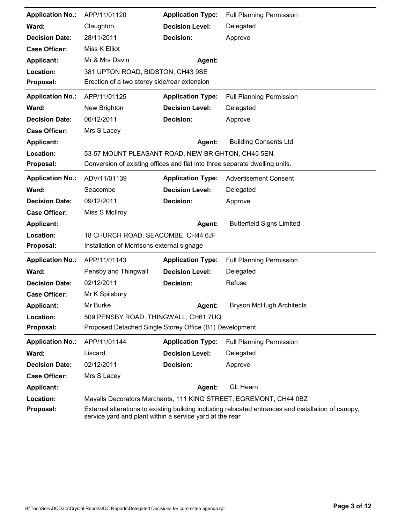| <b>Application No.:</b> | APP/11/01120                                                                | <b>Application Type:</b> | <b>Full Planning Permission</b>                                                                     |
|-------------------------|-----------------------------------------------------------------------------|--------------------------|-----------------------------------------------------------------------------------------------------|
| Ward:                   | Claughton                                                                   | <b>Decision Level:</b>   | Delegated                                                                                           |
| <b>Decision Date:</b>   | 28/11/2011                                                                  | Decision:                | Approve                                                                                             |
| <b>Case Officer:</b>    | Miss K Elliot                                                               |                          |                                                                                                     |
| <b>Applicant:</b>       | Mr & Mrs Davin                                                              | Agent:                   |                                                                                                     |
| Location:               | 381 UPTON ROAD, BIDSTON, CH43 9SE                                           |                          |                                                                                                     |
| Proposal:               | Erection of a two storey side/rear extension                                |                          |                                                                                                     |
| <b>Application No.:</b> | APP/11/01125                                                                | <b>Application Type:</b> | <b>Full Planning Permission</b>                                                                     |
| Ward:                   | New Brighton                                                                | <b>Decision Level:</b>   | Delegated                                                                                           |
| <b>Decision Date:</b>   | 06/12/2011                                                                  | Decision:                | Approve                                                                                             |
| <b>Case Officer:</b>    | Mrs S Lacey                                                                 |                          |                                                                                                     |
| <b>Applicant:</b>       |                                                                             | <b>Agent:</b>            | <b>Building Consents Ltd</b>                                                                        |
| Location:               | 53-57 MOUNT PLEASANT ROAD, NEW BRIGHTON, CH45 5EN.                          |                          |                                                                                                     |
| Proposal:               | Conversion of existing offices and flat into three separate dwelling units. |                          |                                                                                                     |
| <b>Application No.:</b> | ADV/11/01139                                                                | <b>Application Type:</b> | <b>Advertisement Consent</b>                                                                        |
| Ward:                   | Seacombe                                                                    | <b>Decision Level:</b>   | Delegated                                                                                           |
| <b>Decision Date:</b>   | 09/12/2011                                                                  | <b>Decision:</b>         | Approve                                                                                             |
| <b>Case Officer:</b>    | Miss S McIlroy                                                              |                          |                                                                                                     |
| <b>Applicant:</b>       |                                                                             | Agent:                   | <b>Butterfield Signs Limited</b>                                                                    |
| Location:               | 18 CHURCH ROAD, SEACOMBE, CH44 6JF                                          |                          |                                                                                                     |
| Proposal:               | Installation of Morrisons external signage                                  |                          |                                                                                                     |
| <b>Application No.:</b> | APP/11/01143                                                                | <b>Application Type:</b> | <b>Full Planning Permission</b>                                                                     |
| Ward:                   | Pensby and Thingwall                                                        | <b>Decision Level:</b>   | Delegated                                                                                           |
| <b>Decision Date:</b>   | 02/12/2011                                                                  | <b>Decision:</b>         | Refuse                                                                                              |
| <b>Case Officer:</b>    | Mr K Spilsbury                                                              |                          |                                                                                                     |
| <b>Applicant:</b>       | Mr Burke                                                                    | Agent:                   | <b>Bryson McHugh Architects</b>                                                                     |
| Location:               | 509 PENSBY ROAD, THINGWALL, CH61 7UQ                                        |                          |                                                                                                     |
| Proposal:               | Proposed Detached Single Storey Office (B1) Development                     |                          |                                                                                                     |
| <b>Application No.:</b> | APP/11/01144                                                                | <b>Application Type:</b> | <b>Full Planning Permission</b>                                                                     |
| Ward:                   | Liscard                                                                     | <b>Decision Level:</b>   | Delegated                                                                                           |
| <b>Decision Date:</b>   | 02/12/2011                                                                  | <b>Decision:</b>         | Approve                                                                                             |
| <b>Case Officer:</b>    | Mrs S Lacey                                                                 |                          |                                                                                                     |
| <b>Applicant:</b>       |                                                                             | Agent:                   | <b>GL Hearn</b>                                                                                     |
| Location:               |                                                                             |                          | Mayalls Decorators Merchants, 111 KING STREET, EGREMONT, CH44 0BZ                                   |
| Proposal:               | service yard and plant within a service yard at the rear                    |                          | External alterations to existing building including relocated entrances and installation of canopy, |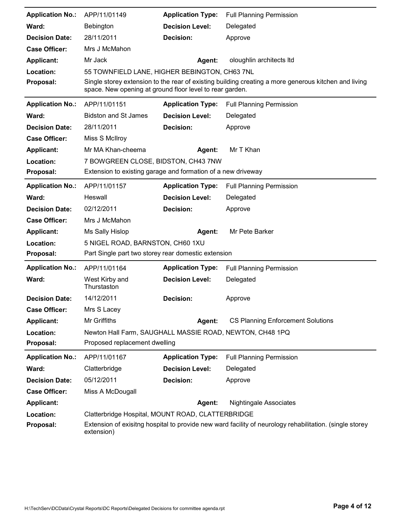| <b>Application No.:</b> | APP/11/01149                                                 | <b>Application Type:</b> | <b>Full Planning Permission</b>                                                                         |
|-------------------------|--------------------------------------------------------------|--------------------------|---------------------------------------------------------------------------------------------------------|
| Ward:                   | Bebington                                                    | <b>Decision Level:</b>   | Delegated                                                                                               |
| <b>Decision Date:</b>   | 28/11/2011                                                   | <b>Decision:</b>         | Approve                                                                                                 |
| <b>Case Officer:</b>    | Mrs J McMahon                                                |                          |                                                                                                         |
| <b>Applicant:</b>       | Mr Jack                                                      | Agent:                   | oloughlin architects Itd                                                                                |
| Location:               | 55 TOWNFIELD LANE, HIGHER BEBINGTON, CH63 7NL                |                          |                                                                                                         |
| Proposal:               | space. New opening at ground floor level to rear garden.     |                          | Single storey extension to the rear of existing building creating a more generous kitchen and living    |
| <b>Application No.:</b> | APP/11/01151                                                 | <b>Application Type:</b> | <b>Full Planning Permission</b>                                                                         |
| Ward:                   | <b>Bidston and St James</b>                                  | <b>Decision Level:</b>   | Delegated                                                                                               |
| <b>Decision Date:</b>   | 28/11/2011                                                   | <b>Decision:</b>         | Approve                                                                                                 |
| <b>Case Officer:</b>    | Miss S McIlroy                                               |                          |                                                                                                         |
| <b>Applicant:</b>       | Mr MA Khan-cheema                                            | Agent:                   | Mr T Khan                                                                                               |
| Location:               | 7 BOWGREEN CLOSE, BIDSTON, CH43 7NW                          |                          |                                                                                                         |
| Proposal:               | Extension to existing garage and formation of a new driveway |                          |                                                                                                         |
| <b>Application No.:</b> | APP/11/01157                                                 | <b>Application Type:</b> | <b>Full Planning Permission</b>                                                                         |
| Ward:                   | Heswall                                                      | <b>Decision Level:</b>   | Delegated                                                                                               |
| <b>Decision Date:</b>   | 02/12/2011                                                   | Decision:                | Approve                                                                                                 |
| <b>Case Officer:</b>    | Mrs J McMahon                                                |                          |                                                                                                         |
| <b>Applicant:</b>       | Ms Sally Hislop                                              | Agent:                   | Mr Pete Barker                                                                                          |
| Location:               | 5 NIGEL ROAD, BARNSTON, CH60 1XU                             |                          |                                                                                                         |
| Proposal:               | Part Single part two storey rear domestic extension          |                          |                                                                                                         |
| <b>Application No.:</b> | APP/11/01164                                                 | <b>Application Type:</b> | <b>Full Planning Permission</b>                                                                         |
| Ward:                   | West Kirby and<br>Thurstaston                                | <b>Decision Level:</b>   | Delegated                                                                                               |
| <b>Decision Date:</b>   | 14/12/2011                                                   | Decision:                | Approve                                                                                                 |
| <b>Case Officer:</b>    | Mrs S Lacey                                                  |                          |                                                                                                         |
| <b>Applicant:</b>       | Mr Griffiths                                                 | Agent:                   | <b>CS Planning Enforcement Solutions</b>                                                                |
| Location:               | Newton Hall Farm, SAUGHALL MASSIE ROAD, NEWTON, CH48 1PQ     |                          |                                                                                                         |
| Proposal:               | Proposed replacement dwelling                                |                          |                                                                                                         |
| <b>Application No.:</b> | APP/11/01167                                                 | <b>Application Type:</b> | <b>Full Planning Permission</b>                                                                         |
| Ward:                   | Clatterbridge                                                | <b>Decision Level:</b>   | Delegated                                                                                               |
| <b>Decision Date:</b>   | 05/12/2011                                                   | Decision:                | Approve                                                                                                 |
| <b>Case Officer:</b>    | Miss A McDougall                                             |                          |                                                                                                         |
| <b>Applicant:</b>       |                                                              | <b>Agent:</b>            | <b>Nightingale Associates</b>                                                                           |
| Location:               | Clatterbridge Hospital, MOUNT ROAD, CLATTERBRIDGE            |                          |                                                                                                         |
| Proposal:               | extension)                                                   |                          | Extension of exisitng hospital to provide new ward facility of neurology rehabilitation. (single storey |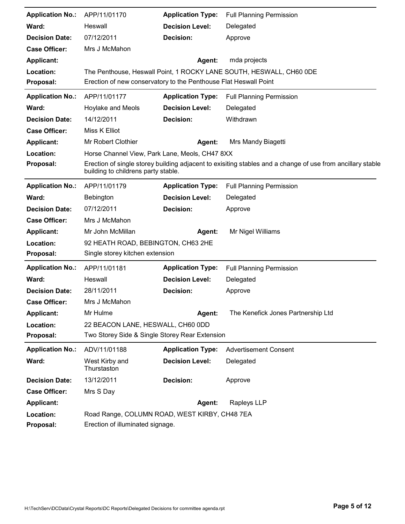| <b>Application No.:</b> | APP/11/01170                                                     | <b>Application Type:</b> | <b>Full Planning Permission</b>                                                                            |
|-------------------------|------------------------------------------------------------------|--------------------------|------------------------------------------------------------------------------------------------------------|
| Ward:                   | Heswall                                                          | <b>Decision Level:</b>   | Delegated                                                                                                  |
| <b>Decision Date:</b>   | 07/12/2011                                                       | Decision:                | Approve                                                                                                    |
| <b>Case Officer:</b>    | Mrs J McMahon                                                    |                          |                                                                                                            |
| <b>Applicant:</b>       |                                                                  | Agent:                   | mda projects                                                                                               |
| Location:               |                                                                  |                          | The Penthouse, Heswall Point, 1 ROCKY LANE SOUTH, HESWALL, CH60 ODE                                        |
| Proposal:               | Erection of new conservatory to the Penthouse Flat Heswall Point |                          |                                                                                                            |
| <b>Application No.:</b> | APP/11/01177                                                     | <b>Application Type:</b> | Full Planning Permission                                                                                   |
| Ward:                   | Hoylake and Meols                                                | <b>Decision Level:</b>   | Delegated                                                                                                  |
| <b>Decision Date:</b>   | 14/12/2011                                                       | <b>Decision:</b>         | Withdrawn                                                                                                  |
| <b>Case Officer:</b>    | Miss K Elliot                                                    |                          |                                                                                                            |
| <b>Applicant:</b>       | Mr Robert Clothier                                               | Agent:                   | Mrs Mandy Biagetti                                                                                         |
| Location:               | Horse Channel View, Park Lane, Meols, CH47 8XX                   |                          |                                                                                                            |
| Proposal:               | building to childrens party stable.                              |                          | Erection of single storey building adjacent to exisiting stables and a change of use from ancillary stable |
| <b>Application No.:</b> | APP/11/01179                                                     | <b>Application Type:</b> | <b>Full Planning Permission</b>                                                                            |
| Ward:                   | Bebington                                                        | <b>Decision Level:</b>   | Delegated                                                                                                  |
| <b>Decision Date:</b>   | 07/12/2011                                                       | Decision:                | Approve                                                                                                    |
| <b>Case Officer:</b>    | Mrs J McMahon                                                    |                          |                                                                                                            |
| <b>Applicant:</b>       | Mr John McMillan                                                 | Agent:                   | Mr Nigel Williams                                                                                          |
| Location:               | 92 HEATH ROAD, BEBINGTON, CH63 2HE                               |                          |                                                                                                            |
| Proposal:               | Single storey kitchen extension                                  |                          |                                                                                                            |
| <b>Application No.:</b> | APP/11/01181                                                     | <b>Application Type:</b> | <b>Full Planning Permission</b>                                                                            |
| Ward:                   | Heswall                                                          | <b>Decision Level:</b>   | Delegated                                                                                                  |
| <b>Decision Date:</b>   | 28/11/2011                                                       | <b>Decision:</b>         | Approve                                                                                                    |
| <b>Case Officer:</b>    | Mrs J McMahon                                                    |                          |                                                                                                            |
| <b>Applicant:</b>       | Mr Hulme                                                         | Agent:                   | The Kenefick Jones Partnership Ltd                                                                         |
| Location:               | 22 BEACON LANE, HESWALL, CH60 0DD                                |                          |                                                                                                            |
| Proposal:               | Two Storey Side & Single Storey Rear Extension                   |                          |                                                                                                            |
| <b>Application No.:</b> | ADV/11/01188                                                     | <b>Application Type:</b> | <b>Advertisement Consent</b>                                                                               |
| Ward:                   | West Kirby and<br>Thurstaston                                    | <b>Decision Level:</b>   | Delegated                                                                                                  |
| <b>Decision Date:</b>   | 13/12/2011                                                       | <b>Decision:</b>         | Approve                                                                                                    |
| <b>Case Officer:</b>    | Mrs S Day                                                        |                          |                                                                                                            |
| <b>Applicant:</b>       |                                                                  | Agent:                   | Rapleys LLP                                                                                                |
| Location:               | Road Range, COLUMN ROAD, WEST KIRBY, CH48 7EA                    |                          |                                                                                                            |
| Proposal:               | Erection of illuminated signage.                                 |                          |                                                                                                            |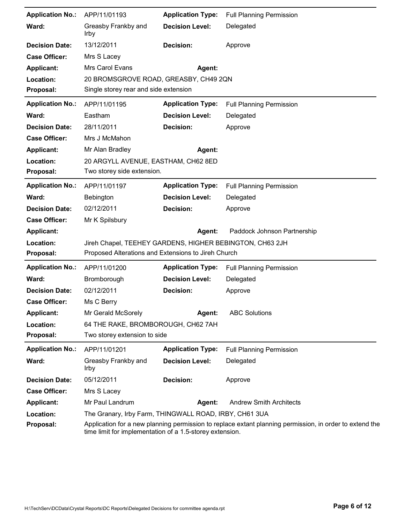| <b>Application No.:</b> | APP/11/01193                                                      | <b>Application Type:</b> | <b>Full Planning Permission</b> |
|-------------------------|-------------------------------------------------------------------|--------------------------|---------------------------------|
| Ward:                   | Greasby Frankby and<br><b>Irby</b>                                | <b>Decision Level:</b>   | Delegated                       |
| <b>Decision Date:</b>   | 13/12/2011                                                        | <b>Decision:</b>         | Approve                         |
| <b>Case Officer:</b>    | Mrs S Lacey                                                       |                          |                                 |
| <b>Applicant:</b>       | Mrs Carol Evans                                                   | Agent:                   |                                 |
| Location:               | 20 BROMSGROVE ROAD, GREASBY, CH49 2QN                             |                          |                                 |
| Proposal:               | Single storey rear and side extension                             |                          |                                 |
| <b>Application No.:</b> | APP/11/01195                                                      | <b>Application Type:</b> | <b>Full Planning Permission</b> |
| Ward:                   | Eastham                                                           | <b>Decision Level:</b>   | Delegated                       |
| <b>Decision Date:</b>   | 28/11/2011                                                        | <b>Decision:</b>         | Approve                         |
| <b>Case Officer:</b>    | Mrs J McMahon                                                     |                          |                                 |
| <b>Applicant:</b>       | Mr Alan Bradley                                                   | Agent:                   |                                 |
| Location:<br>Proposal:  | 20 ARGYLL AVENUE, EASTHAM, CH62 8ED<br>Two storey side extension. |                          |                                 |
| <b>Application No.:</b> | APP/11/01197                                                      | <b>Application Type:</b> | <b>Full Planning Permission</b> |
| Ward:                   | Bebington                                                         | <b>Decision Level:</b>   | Delegated                       |
| <b>Decision Date:</b>   | 02/12/2011                                                        | Decision:                | Approve                         |
| <b>Case Officer:</b>    | Mr K Spilsbury                                                    |                          |                                 |
| <b>Applicant:</b>       |                                                                   | Agent:                   | Paddock Johnson Partnership     |
|                         |                                                                   |                          |                                 |
| Location:               | Jireh Chapel, TEEHEY GARDENS, HIGHER BEBINGTON, CH63 2JH          |                          |                                 |
| Proposal:               | Proposed Alterations and Extensions to Jireh Church               |                          |                                 |
| <b>Application No.:</b> | APP/11/01200                                                      | <b>Application Type:</b> | <b>Full Planning Permission</b> |
| Ward:                   | Bromborough                                                       | <b>Decision Level:</b>   | Delegated                       |
| <b>Decision Date:</b>   | 02/12/2011                                                        | <b>Decision:</b>         | Approve                         |
| <b>Case Officer:</b>    | Ms C Berry                                                        |                          |                                 |
| <b>Applicant:</b>       | Mr Gerald McSorely                                                | Agent:                   | <b>ABC Solutions</b>            |
| Location:               | 64 THE RAKE, BROMBOROUGH, CH62 7AH                                |                          |                                 |
| Proposal:               | Two storey extension to side                                      |                          |                                 |
| <b>Application No.:</b> | APP/11/01201                                                      | <b>Application Type:</b> | <b>Full Planning Permission</b> |
| Ward:                   | Greasby Frankby and<br>Irby                                       | <b>Decision Level:</b>   | Delegated                       |
| <b>Decision Date:</b>   | 05/12/2011                                                        | <b>Decision:</b>         | Approve                         |
| <b>Case Officer:</b>    | Mrs S Lacey                                                       |                          |                                 |
| <b>Applicant:</b>       | Mr Paul Landrum                                                   | Agent:                   | <b>Andrew Smith Architects</b>  |
| Location:               | The Granary, Irby Farm, THINGWALL ROAD, IRBY, CH61 3UA            |                          |                                 |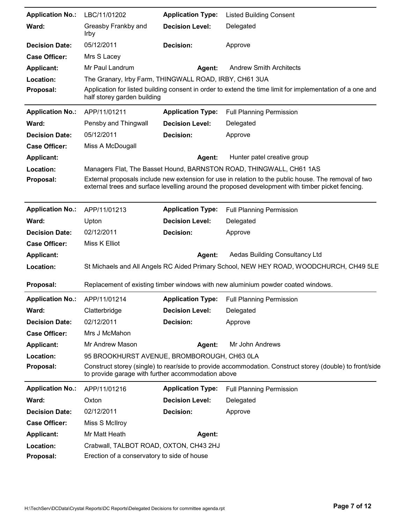| <b>Application No.:</b> | LBC/11/01202                                                                          | <b>Application Type:</b> | <b>Listed Building Consent</b>                                                                                                                                                                           |
|-------------------------|---------------------------------------------------------------------------------------|--------------------------|----------------------------------------------------------------------------------------------------------------------------------------------------------------------------------------------------------|
| Ward:                   | Greasby Frankby and<br><b>Irby</b>                                                    | <b>Decision Level:</b>   | Delegated                                                                                                                                                                                                |
| <b>Decision Date:</b>   | 05/12/2011                                                                            | Decision:                | Approve                                                                                                                                                                                                  |
| <b>Case Officer:</b>    | Mrs S Lacey                                                                           |                          |                                                                                                                                                                                                          |
| <b>Applicant:</b>       | Mr Paul Landrum                                                                       | Agent:                   | <b>Andrew Smith Architects</b>                                                                                                                                                                           |
| Location:               | The Granary, Irby Farm, THINGWALL ROAD, IRBY, CH61 3UA                                |                          |                                                                                                                                                                                                          |
| Proposal:               | half storey garden building                                                           |                          | Application for listed building consent in order to extend the time limit for implementation of a one and                                                                                                |
| <b>Application No.:</b> | APP/11/01211                                                                          | <b>Application Type:</b> | <b>Full Planning Permission</b>                                                                                                                                                                          |
| Ward:                   | Pensby and Thingwall                                                                  | <b>Decision Level:</b>   | Delegated                                                                                                                                                                                                |
| <b>Decision Date:</b>   | 05/12/2011                                                                            | Decision:                | Approve                                                                                                                                                                                                  |
| <b>Case Officer:</b>    | Miss A McDougall                                                                      |                          |                                                                                                                                                                                                          |
| <b>Applicant:</b>       |                                                                                       | Agent:                   | Hunter patel creative group                                                                                                                                                                              |
| Location:               |                                                                                       |                          | Managers Flat, The Basset Hound, BARNSTON ROAD, THINGWALL, CH61 1AS                                                                                                                                      |
| Proposal:               |                                                                                       |                          | External proposals include new extension for use in relation to the public house. The removal of two<br>external trees and surface levelling around the proposed development with timber picket fencing. |
| <b>Application No.:</b> | APP/11/01213                                                                          | <b>Application Type:</b> | <b>Full Planning Permission</b>                                                                                                                                                                          |
| Ward:                   | Upton                                                                                 | <b>Decision Level:</b>   | Delegated                                                                                                                                                                                                |
| <b>Decision Date:</b>   | 02/12/2011                                                                            | Decision:                | Approve                                                                                                                                                                                                  |
| <b>Case Officer:</b>    | Miss K Elliot                                                                         |                          |                                                                                                                                                                                                          |
| <b>Applicant:</b>       |                                                                                       | Agent:                   | Aedas Building Consultancy Ltd                                                                                                                                                                           |
| Location:               |                                                                                       |                          | St Michaels and All Angels RC Aided Primary School, NEW HEY ROAD, WOODCHURCH, CH49 5LE                                                                                                                   |
| Proposal:               |                                                                                       |                          | Replacement of existing timber windows with new aluminium powder coated windows.                                                                                                                         |
| <b>Application No.:</b> | APP/11/01214                                                                          | <b>Application Type:</b> | <b>Full Planning Permission</b>                                                                                                                                                                          |
| Ward:                   | Clatterbridge                                                                         | <b>Decision Level:</b>   | Delegated                                                                                                                                                                                                |
| <b>Decision Date:</b>   | 02/12/2011                                                                            | Decision:                | Approve                                                                                                                                                                                                  |
| <b>Case Officer:</b>    | Mrs J McMahon                                                                         |                          |                                                                                                                                                                                                          |
| <b>Applicant:</b>       | Mr Andrew Mason                                                                       | Agent:                   | Mr John Andrews                                                                                                                                                                                          |
| Location:               | 95 BROOKHURST AVENUE, BROMBOROUGH, CH63 OLA                                           |                          |                                                                                                                                                                                                          |
| Proposal:               | to provide garage with further accommodation above                                    |                          | Construct storey (single) to rear/side to provide accommodation. Construct storey (double) to front/side                                                                                                 |
| <b>Application No.:</b> | APP/11/01216                                                                          | <b>Application Type:</b> | <b>Full Planning Permission</b>                                                                                                                                                                          |
| Ward:                   | Oxton                                                                                 | <b>Decision Level:</b>   | Delegated                                                                                                                                                                                                |
| <b>Decision Date:</b>   | 02/12/2011                                                                            | Decision:                | Approve                                                                                                                                                                                                  |
| <b>Case Officer:</b>    | Miss S McIlroy                                                                        |                          |                                                                                                                                                                                                          |
| <b>Applicant:</b>       | Mr Matt Heath                                                                         | Agent:                   |                                                                                                                                                                                                          |
| Location:<br>Proposal:  | Crabwall, TALBOT ROAD, OXTON, CH43 2HJ<br>Erection of a conservatory to side of house |                          |                                                                                                                                                                                                          |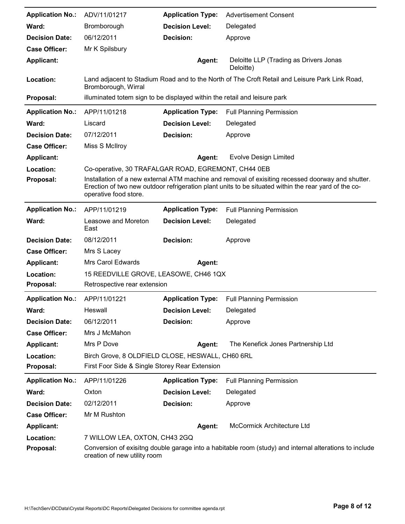| <b>Application No.:</b> | ADV/11/01217                                                              | <b>Application Type:</b> | <b>Advertisement Consent</b>                                                                                                                                                                              |
|-------------------------|---------------------------------------------------------------------------|--------------------------|-----------------------------------------------------------------------------------------------------------------------------------------------------------------------------------------------------------|
| Ward:                   | Bromborough                                                               | <b>Decision Level:</b>   | Delegated                                                                                                                                                                                                 |
| <b>Decision Date:</b>   | 06/12/2011                                                                | <b>Decision:</b>         | Approve                                                                                                                                                                                                   |
| <b>Case Officer:</b>    | Mr K Spilsbury                                                            |                          |                                                                                                                                                                                                           |
| <b>Applicant:</b>       |                                                                           | Agent:                   | Deloitte LLP (Trading as Drivers Jonas<br>Deloitte)                                                                                                                                                       |
| Location:               | Bromborough, Wirral                                                       |                          | Land adjacent to Stadium Road and to the North of The Croft Retail and Leisure Park Link Road,                                                                                                            |
| Proposal:               | illuminated totem sign to be displayed within the retail and leisure park |                          |                                                                                                                                                                                                           |
| <b>Application No.:</b> | APP/11/01218                                                              | <b>Application Type:</b> | <b>Full Planning Permission</b>                                                                                                                                                                           |
| Ward:                   | Liscard                                                                   | <b>Decision Level:</b>   | Delegated                                                                                                                                                                                                 |
| <b>Decision Date:</b>   | 07/12/2011                                                                | <b>Decision:</b>         | Approve                                                                                                                                                                                                   |
| <b>Case Officer:</b>    | Miss S McIlroy                                                            |                          |                                                                                                                                                                                                           |
| <b>Applicant:</b>       |                                                                           | Agent:                   | <b>Evolve Design Limited</b>                                                                                                                                                                              |
| Location:               | Co-operative, 30 TRAFALGAR ROAD, EGREMONT, CH44 0EB                       |                          |                                                                                                                                                                                                           |
| Proposal:               | operative food store.                                                     |                          | Installation of a new external ATM machine and removal of exisiting recessed doorway and shutter.<br>Erection of two new outdoor refrigeration plant units to be situated within the rear yard of the co- |
| <b>Application No.:</b> | APP/11/01219                                                              | <b>Application Type:</b> | <b>Full Planning Permission</b>                                                                                                                                                                           |
| Ward:                   | Leasowe and Moreton<br>East                                               | <b>Decision Level:</b>   | Delegated                                                                                                                                                                                                 |
| <b>Decision Date:</b>   | 08/12/2011                                                                | Decision:                | Approve                                                                                                                                                                                                   |
| <b>Case Officer:</b>    | Mrs S Lacey                                                               |                          |                                                                                                                                                                                                           |
| <b>Applicant:</b>       | Mrs Carol Edwards                                                         | Agent:                   |                                                                                                                                                                                                           |
| Location:               | 15 REEDVILLE GROVE, LEASOWE, CH46 1QX                                     |                          |                                                                                                                                                                                                           |
| Proposal:               | Retrospective rear extension                                              |                          |                                                                                                                                                                                                           |
| <b>Application No.:</b> | APP/11/01221                                                              | <b>Application Type:</b> | Full Planning Permission                                                                                                                                                                                  |
| Ward:                   | Heswall                                                                   | <b>Decision Level:</b>   | Delegated                                                                                                                                                                                                 |
| <b>Decision Date:</b>   | 06/12/2011                                                                | Decision:                | Approve                                                                                                                                                                                                   |
| <b>Case Officer:</b>    | Mrs J McMahon                                                             |                          |                                                                                                                                                                                                           |
| <b>Applicant:</b>       | Mrs P Dove                                                                | Agent:                   | The Kenefick Jones Partnership Ltd                                                                                                                                                                        |
| Location:               | Birch Grove, 8 OLDFIELD CLOSE, HESWALL, CH60 6RL                          |                          |                                                                                                                                                                                                           |
| Proposal:               | First Foor Side & Single Storey Rear Extension                            |                          |                                                                                                                                                                                                           |
| <b>Application No.:</b> | APP/11/01226                                                              | <b>Application Type:</b> | <b>Full Planning Permission</b>                                                                                                                                                                           |
| Ward:                   | Oxton                                                                     | <b>Decision Level:</b>   | Delegated                                                                                                                                                                                                 |
| <b>Decision Date:</b>   | 02/12/2011                                                                | Decision:                | Approve                                                                                                                                                                                                   |
| <b>Case Officer:</b>    | Mr M Rushton                                                              |                          |                                                                                                                                                                                                           |
| <b>Applicant:</b>       |                                                                           | Agent:                   | McCormick Architecture Ltd                                                                                                                                                                                |
| Location:               | 7 WILLOW LEA, OXTON, CH43 2GQ                                             |                          |                                                                                                                                                                                                           |
| Proposal:               | creation of new utility room                                              |                          | Conversion of exisitng double garage into a habitable room (study) and internal alterations to include                                                                                                    |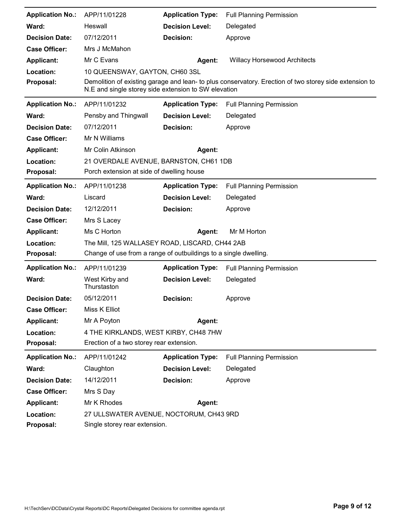| <b>Application No.:</b> | APP/11/01228                                                     | <b>Application Type:</b> | <b>Full Planning Permission</b>                                                                        |
|-------------------------|------------------------------------------------------------------|--------------------------|--------------------------------------------------------------------------------------------------------|
| Ward:                   | Heswall                                                          | <b>Decision Level:</b>   | Delegated                                                                                              |
| <b>Decision Date:</b>   | 07/12/2011                                                       | Decision:                | Approve                                                                                                |
| <b>Case Officer:</b>    | Mrs J McMahon                                                    |                          |                                                                                                        |
| <b>Applicant:</b>       | Mr C Evans                                                       | <b>Agent:</b>            | <b>Willacy Horsewood Architects</b>                                                                    |
| Location:               | 10 QUEENSWAY, GAYTON, CH60 3SL                                   |                          |                                                                                                        |
| Proposal:               | N.E and single storey side extension to SW elevation             |                          | Demolition of existing garage and lean- to plus conservatory. Erection of two storey side extension to |
| <b>Application No.:</b> | APP/11/01232                                                     | <b>Application Type:</b> | <b>Full Planning Permission</b>                                                                        |
| Ward:                   | Pensby and Thingwall                                             | <b>Decision Level:</b>   | Delegated                                                                                              |
| <b>Decision Date:</b>   | 07/12/2011                                                       | Decision:                | Approve                                                                                                |
| <b>Case Officer:</b>    | Mr N Williams                                                    |                          |                                                                                                        |
| <b>Applicant:</b>       | Mr Colin Atkinson                                                | Agent:                   |                                                                                                        |
| Location:               | 21 OVERDALE AVENUE, BARNSTON, CH61 1DB                           |                          |                                                                                                        |
| Proposal:               | Porch extension at side of dwelling house                        |                          |                                                                                                        |
| <b>Application No.:</b> | APP/11/01238                                                     | <b>Application Type:</b> | <b>Full Planning Permission</b>                                                                        |
| Ward:                   | Liscard                                                          | <b>Decision Level:</b>   | Delegated                                                                                              |
| <b>Decision Date:</b>   | 12/12/2011                                                       | Decision:                | Approve                                                                                                |
| <b>Case Officer:</b>    | Mrs S Lacey                                                      |                          |                                                                                                        |
| <b>Applicant:</b>       | Ms C Horton                                                      | Agent:                   | Mr M Horton                                                                                            |
| Location:               | The Mill, 125 WALLASEY ROAD, LISCARD, CH44 2AB                   |                          |                                                                                                        |
| Proposal:               | Change of use from a range of outbuildings to a single dwelling. |                          |                                                                                                        |
| <b>Application No.:</b> | APP/11/01239                                                     | <b>Application Type:</b> | <b>Full Planning Permission</b>                                                                        |
| Ward:                   | West Kirby and<br>Thurstaston                                    | <b>Decision Level:</b>   | Delegated                                                                                              |
| <b>Decision Date:</b>   | 05/12/2011                                                       | Decision:                | Approve                                                                                                |
| <b>Case Officer:</b>    | Miss K Elliot                                                    |                          |                                                                                                        |
| <b>Applicant:</b>       | Mr A Poyton                                                      | Agent:                   |                                                                                                        |
| Location:               | 4 THE KIRKLANDS, WEST KIRBY, CH48 7HW                            |                          |                                                                                                        |
| Proposal:               | Erection of a two storey rear extension.                         |                          |                                                                                                        |
| <b>Application No.:</b> | APP/11/01242                                                     | <b>Application Type:</b> | <b>Full Planning Permission</b>                                                                        |
| Ward:                   | Claughton                                                        | <b>Decision Level:</b>   | Delegated                                                                                              |
| <b>Decision Date:</b>   | 14/12/2011                                                       | <b>Decision:</b>         | Approve                                                                                                |
| <b>Case Officer:</b>    | Mrs S Day                                                        |                          |                                                                                                        |
| <b>Applicant:</b>       | Mr K Rhodes                                                      | Agent:                   |                                                                                                        |
| Location:               | 27 ULLSWATER AVENUE, NOCTORUM, CH43 9RD                          |                          |                                                                                                        |
| Proposal:               | Single storey rear extension.                                    |                          |                                                                                                        |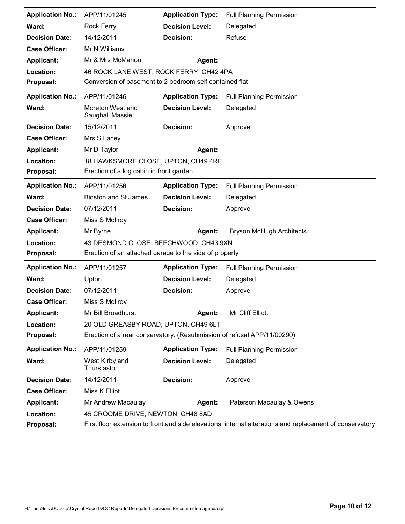| <b>Application No.:</b> | APP/11/01245                                                            | <b>Application Type:</b> | <b>Full Planning Permission</b>                                                                          |
|-------------------------|-------------------------------------------------------------------------|--------------------------|----------------------------------------------------------------------------------------------------------|
| Ward:                   | Rock Ferry                                                              | <b>Decision Level:</b>   | Delegated                                                                                                |
| <b>Decision Date:</b>   | 14/12/2011                                                              | Decision:                | Refuse                                                                                                   |
| <b>Case Officer:</b>    | Mr N Williams                                                           |                          |                                                                                                          |
| <b>Applicant:</b>       | Mr & Mrs McMahon                                                        | <b>Agent:</b>            |                                                                                                          |
| Location:               | 46 ROCK LANE WEST, ROCK FERRY, CH42 4PA                                 |                          |                                                                                                          |
| Proposal:               | Conversion of basement to 2 bedroom self contained flat                 |                          |                                                                                                          |
| <b>Application No.:</b> | APP/11/01246                                                            | <b>Application Type:</b> | <b>Full Planning Permission</b>                                                                          |
| Ward:                   | Moreton West and<br>Saughall Massie                                     | <b>Decision Level:</b>   | Delegated                                                                                                |
| <b>Decision Date:</b>   | 15/12/2011                                                              | Decision:                | Approve                                                                                                  |
| <b>Case Officer:</b>    | Mrs S Lacey                                                             |                          |                                                                                                          |
| <b>Applicant:</b>       | Mr D Taylor                                                             | Agent:                   |                                                                                                          |
| Location:               | 18 HAWKSMORE CLOSE, UPTON, CH49 4RE                                     |                          |                                                                                                          |
| Proposal:               | Erection of a log cabin in front garden                                 |                          |                                                                                                          |
| <b>Application No.:</b> | APP/11/01256                                                            | <b>Application Type:</b> | <b>Full Planning Permission</b>                                                                          |
| Ward:                   | <b>Bidston and St James</b>                                             | <b>Decision Level:</b>   | Delegated                                                                                                |
| <b>Decision Date:</b>   | 07/12/2011                                                              | <b>Decision:</b>         | Approve                                                                                                  |
| <b>Case Officer:</b>    | Miss S McIlroy                                                          |                          |                                                                                                          |
| <b>Applicant:</b>       | Mr Byrne                                                                | Agent:                   | <b>Bryson McHugh Architects</b>                                                                          |
| Location:               | 43 DESMOND CLOSE, BEECHWOOD, CH43 9XN                                   |                          |                                                                                                          |
| Proposal:               | Erection of an attached garage to the side of property                  |                          |                                                                                                          |
| <b>Application No.:</b> | APP/11/01257                                                            | <b>Application Type:</b> | <b>Full Planning Permission</b>                                                                          |
| Ward:                   | Upton                                                                   | <b>Decision Level:</b>   | Delegated                                                                                                |
| <b>Decision Date:</b>   | 07/12/2011                                                              | Decision:                | Approve                                                                                                  |
| <b>Case Officer:</b>    | Miss S McIlroy                                                          |                          |                                                                                                          |
| <b>Applicant:</b>       | Mr Bill Broadhurst                                                      | Agent:                   | Mr Cliff Elliott                                                                                         |
| Location:               | 20 OLD GREASBY ROAD, UPTON, CH49 6LT                                    |                          |                                                                                                          |
| Proposal:               | Erection of a rear conservatory. (Resubmission of refusal APP/11/00290) |                          |                                                                                                          |
| <b>Application No.:</b> | APP/11/01259                                                            | <b>Application Type:</b> | <b>Full Planning Permission</b>                                                                          |
| Ward:                   | West Kirby and<br>Thurstaston                                           | <b>Decision Level:</b>   | Delegated                                                                                                |
| <b>Decision Date:</b>   | 14/12/2011                                                              | Decision:                | Approve                                                                                                  |
| <b>Case Officer:</b>    | Miss K Elliot                                                           |                          |                                                                                                          |
| <b>Applicant:</b>       | Mr Andrew Macaulay                                                      | Agent:                   | Paterson Macaulay & Owens                                                                                |
| Location:               | 45 CROOME DRIVE, NEWTON, CH48 8AD                                       |                          |                                                                                                          |
| Proposal:               |                                                                         |                          | First floor extension to front and side elevations, internal alterations and replacement of conservatory |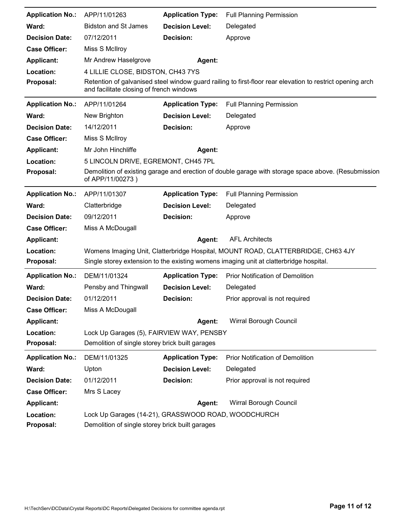| <b>Application No.:</b> | APP/11/01263                                                                                 | <b>Application Type:</b> | <b>Full Planning Permission</b>                                                                           |
|-------------------------|----------------------------------------------------------------------------------------------|--------------------------|-----------------------------------------------------------------------------------------------------------|
| Ward:                   | <b>Bidston and St James</b>                                                                  | <b>Decision Level:</b>   | Delegated                                                                                                 |
| <b>Decision Date:</b>   | 07/12/2011                                                                                   | Decision:                | Approve                                                                                                   |
| <b>Case Officer:</b>    | Miss S McIlroy                                                                               |                          |                                                                                                           |
| <b>Applicant:</b>       | Mr Andrew Haselgrove                                                                         | Agent:                   |                                                                                                           |
| Location:               | 4 LILLIE CLOSE, BIDSTON, CH43 7YS                                                            |                          |                                                                                                           |
| Proposal:               | and facilitate closing of french windows                                                     |                          | Retention of galvanised steel window guard railing to first-floor rear elevation to restrict opening arch |
| <b>Application No.:</b> | APP/11/01264                                                                                 | <b>Application Type:</b> | <b>Full Planning Permission</b>                                                                           |
| Ward:                   | New Brighton                                                                                 | <b>Decision Level:</b>   | Delegated                                                                                                 |
| <b>Decision Date:</b>   | 14/12/2011                                                                                   | Decision:                | Approve                                                                                                   |
| <b>Case Officer:</b>    | Miss S McIlroy                                                                               |                          |                                                                                                           |
| <b>Applicant:</b>       | Mr John Hinchliffe                                                                           | Agent:                   |                                                                                                           |
| Location:               | 5 LINCOLN DRIVE, EGREMONT, CH45 7PL                                                          |                          |                                                                                                           |
| Proposal:               | of APP/11/00273)                                                                             |                          | Demolition of existing garage and erection of double garage with storage space above. (Resubmission       |
| <b>Application No.:</b> | APP/11/01307                                                                                 | <b>Application Type:</b> | <b>Full Planning Permission</b>                                                                           |
| Ward:                   | Clatterbridge                                                                                | <b>Decision Level:</b>   | Delegated                                                                                                 |
| <b>Decision Date:</b>   | 09/12/2011                                                                                   | Decision:                | Approve                                                                                                   |
| <b>Case Officer:</b>    | Miss A McDougall                                                                             |                          |                                                                                                           |
| <b>Applicant:</b>       |                                                                                              | Agent:                   | <b>AFL Architects</b>                                                                                     |
| Location:               |                                                                                              |                          | Womens Imaging Unit, Clatterbridge Hospital, MOUNT ROAD, CLATTERBRIDGE, CH63 4JY                          |
| Proposal:               |                                                                                              |                          | Single storey extension to the existing womens imaging unit at clatterbridge hospital.                    |
| <b>Application No.:</b> | DEM/11/01324                                                                                 | <b>Application Type:</b> | <b>Prior Notification of Demolition</b>                                                                   |
| Ward:                   | Pensby and Thingwall                                                                         | <b>Decision Level:</b>   | Delegated                                                                                                 |
| <b>Decision Date:</b>   | 01/12/2011                                                                                   | <b>Decision:</b>         | Prior approval is not required                                                                            |
| <b>Case Officer:</b>    | Miss A McDougall                                                                             |                          |                                                                                                           |
| <b>Applicant:</b>       |                                                                                              | Agent:                   | Wirral Borough Council                                                                                    |
| Location:<br>Proposal:  | Lock Up Garages (5), FAIRVIEW WAY, PENSBY<br>Demolition of single storey brick built garages |                          |                                                                                                           |
| <b>Application No.:</b> | DEM/11/01325                                                                                 | <b>Application Type:</b> | Prior Notification of Demolition                                                                          |
| Ward:                   | Upton                                                                                        | <b>Decision Level:</b>   | Delegated                                                                                                 |
| <b>Decision Date:</b>   | 01/12/2011                                                                                   | <b>Decision:</b>         | Prior approval is not required                                                                            |
| <b>Case Officer:</b>    | Mrs S Lacey                                                                                  |                          |                                                                                                           |
| <b>Applicant:</b>       |                                                                                              | Agent:                   | Wirral Borough Council                                                                                    |
| Location:               | Lock Up Garages (14-21), GRASSWOOD ROAD, WOODCHURCH                                          |                          |                                                                                                           |
| Proposal:               | Demolition of single storey brick built garages                                              |                          |                                                                                                           |